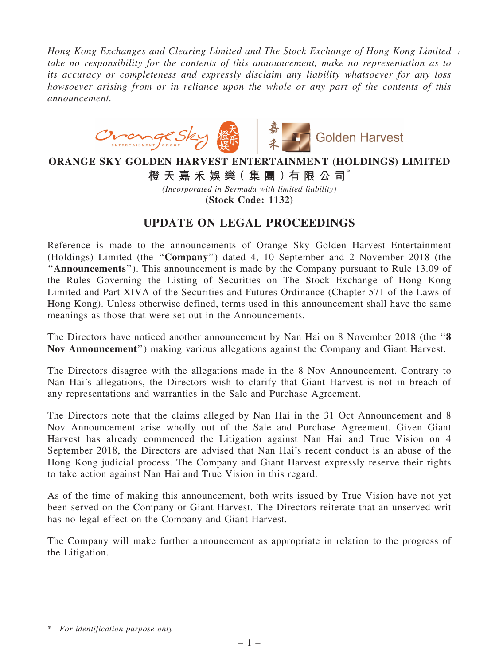*Hong Kong Exchanges and Clearing Limited and The Stock Exchange of Hong Kong Limited* / *take no responsibility for the contents of this announcement, make no representation as to its accuracy or completeness and expressly disclaim any liability whatsoever for any loss howsoever arising from or in reliance upon the whole or any part of the contents of this announcement.*



## ORANGE SKY GOLDEN HARVEST ENTERTAINMENT (HOLDINGS) LIMITED

橙 天 嘉 禾 娛 樂( 集 團 )有 限 公 司\*

*(Incorporated in Bermuda with limited liability)*

(Stock Code: 1132)

## UPDATE ON LEGAL PROCEEDINGS

Reference is made to the announcements of Orange Sky Golden Harvest Entertainment (Holdings) Limited (the ''Company'') dated 4, 10 September and 2 November 2018 (the "Announcements"). This announcement is made by the Company pursuant to Rule 13.09 of the Rules Governing the Listing of Securities on The Stock Exchange of Hong Kong Limited and Part XIVA of the Securities and Futures Ordinance (Chapter 571 of the Laws of Hong Kong). Unless otherwise defined, terms used in this announcement shall have the same meanings as those that were set out in the Announcements.

The Directors have noticed another announcement by Nan Hai on 8 November 2018 (the "8 Nov Announcement'') making various allegations against the Company and Giant Harvest.

The Directors disagree with the allegations made in the 8 Nov Announcement. Contrary to Nan Hai's allegations, the Directors wish to clarify that Giant Harvest is not in breach of any representations and warranties in the Sale and Purchase Agreement.

The Directors note that the claims alleged by Nan Hai in the 31 Oct Announcement and 8 Nov Announcement arise wholly out of the Sale and Purchase Agreement. Given Giant Harvest has already commenced the Litigation against Nan Hai and True Vision on 4 September 2018, the Directors are advised that Nan Hai's recent conduct is an abuse of the Hong Kong judicial process. The Company and Giant Harvest expressly reserve their rights to take action against Nan Hai and True Vision in this regard.

As of the time of making this announcement, both writs issued by True Vision have not yet been served on the Company or Giant Harvest. The Directors reiterate that an unserved writ has no legal effect on the Company and Giant Harvest.

The Company will make further announcement as appropriate in relation to the progress of the Litigation.

<sup>\*</sup> *For identification purpose only*